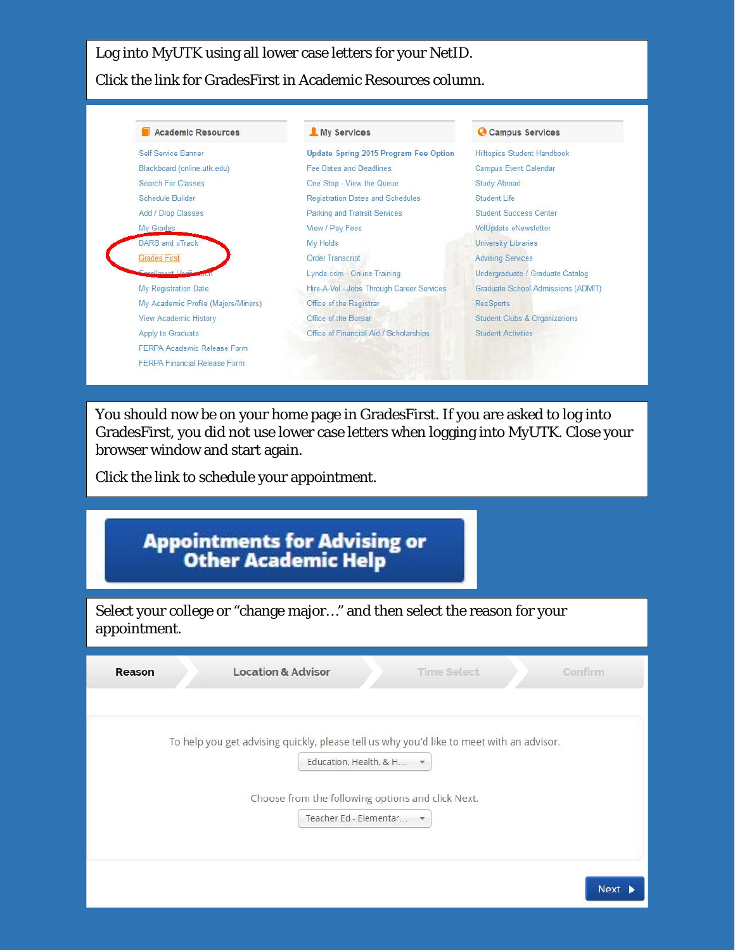Log into MyUTK using all lower case letters for your NetID. Click the link for GradesFirst in Academic Resources column.



You should now be on your home page in GradesFirst. If you are asked to log into GradesFirst, you did not use lower case letters when logging into MyUTK. Close your browser window and start again.

Click the link to schedule your appointment.

| Appointments for Advising or<br>Other Academic Help<br>Select your college or "change major" and then select the reason for your<br>appointment.                                                  |  |  |  |
|---------------------------------------------------------------------------------------------------------------------------------------------------------------------------------------------------|--|--|--|
|                                                                                                                                                                                                   |  |  |  |
| To help you get advising quickly, please tell us why you'd like to meet with an advisor.<br>Education, Health, & H<br>Choose from the following options and click Next.<br>Teacher Ed - Elementar |  |  |  |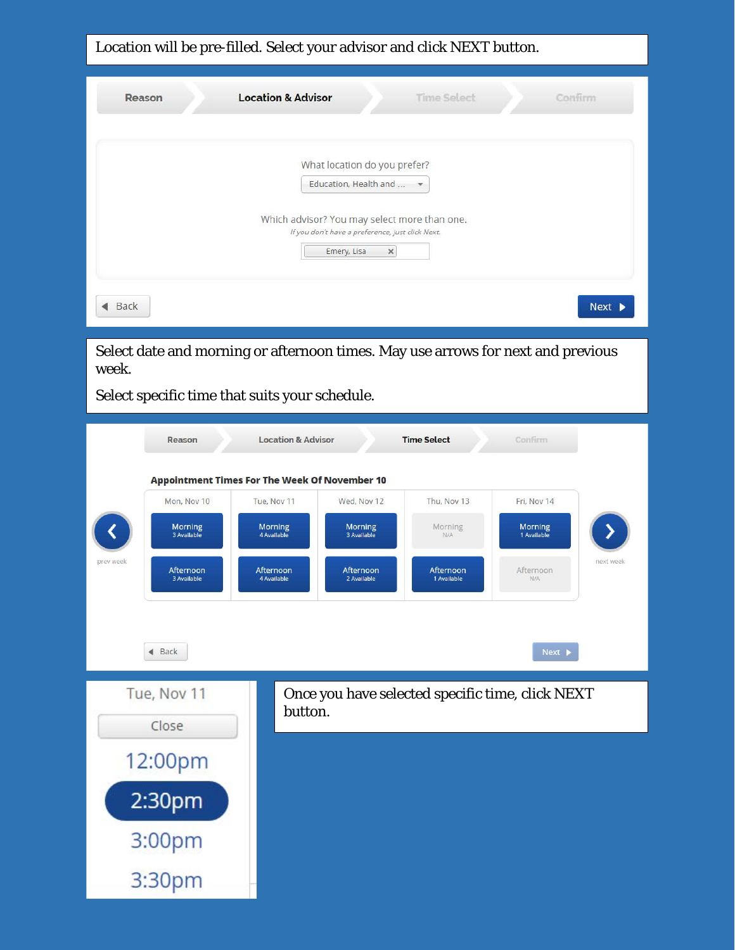Location will be pre-filled. Select your advisor and click NEXT button.

| Reason                                                                                          | <b>Location &amp; Advisor</b><br><b>Time Select</b><br>Confirm                                                                                                                                                                                                                                                                                                                                                                      |
|-------------------------------------------------------------------------------------------------|-------------------------------------------------------------------------------------------------------------------------------------------------------------------------------------------------------------------------------------------------------------------------------------------------------------------------------------------------------------------------------------------------------------------------------------|
|                                                                                                 | What location do you prefer?<br>Education, Health and<br>$\overline{\phantom{a}}$                                                                                                                                                                                                                                                                                                                                                   |
|                                                                                                 | Which advisor? You may select more than one.<br>If you don't have a preference, just click Next.<br>Emery, Lisa<br>$\times$                                                                                                                                                                                                                                                                                                         |
| Back                                                                                            | Next $\blacktriangleright$                                                                                                                                                                                                                                                                                                                                                                                                          |
| week.<br>Select specific time that suits your schedule.                                         | Select date and morning or afternoon times. May use arrows for next and previous                                                                                                                                                                                                                                                                                                                                                    |
| Reason<br>Mon, Nov 10<br><b>Morning</b><br>3 Available<br>prev week<br>Afternoon<br>3 Available | <b>Location &amp; Advisor</b><br><b>Time Select</b><br>Confirm<br><b>Appointment Times For The Week Of November 10</b><br>Wed, Nov 12<br>Thu, Nov 13<br>Tue, Nov 11<br>Fri, Nov 14<br><b>Morning</b><br><b>Morning</b><br>Morning<br><b>Morning</b><br>3 Available<br>1 Available<br>4 Available<br>N/A<br>next week<br>Afternoon<br>Afternoon<br>Afternoon<br>Afternoon<br>4 Available<br>2 Available<br>1 Available<br><b>N/A</b> |
| Back                                                                                            | Next                                                                                                                                                                                                                                                                                                                                                                                                                                |
| Tue, Nov 11<br>Close<br>12:00pm                                                                 | Once you have selected specific time, click NEXT<br>button.                                                                                                                                                                                                                                                                                                                                                                         |
| 2:30pm<br>3:00pm                                                                                |                                                                                                                                                                                                                                                                                                                                                                                                                                     |
| 3:30pm                                                                                          |                                                                                                                                                                                                                                                                                                                                                                                                                                     |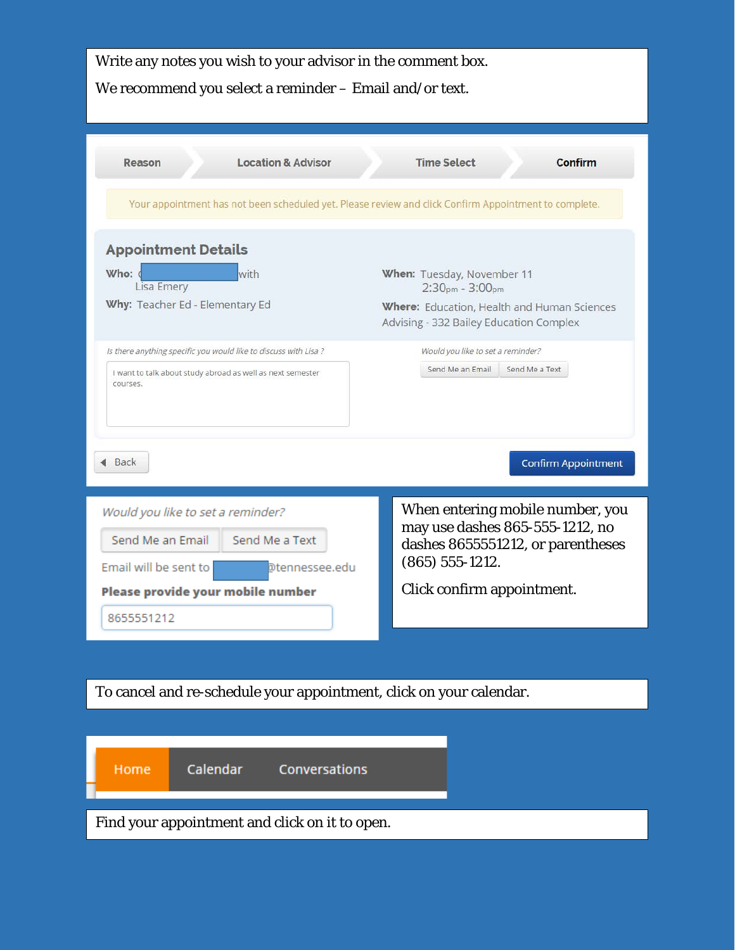| Write any notes you wish to your advisor in the comment box.<br>We recommend you select a reminder - Email and/or text.                          |                                                                                                                                           |  |  |  |
|--------------------------------------------------------------------------------------------------------------------------------------------------|-------------------------------------------------------------------------------------------------------------------------------------------|--|--|--|
| <b>Location &amp; Advisor</b><br>Reason<br>Your appointment has not been scheduled yet. Please review and click Confirm Appointment to complete. | <b>Time Select</b><br><b>Confirm</b>                                                                                                      |  |  |  |
| <b>Appointment Details</b><br>Who:<br>with<br>Lisa Emery<br>Why: Teacher Ed - Elementary Ed                                                      | When: Tuesday, November 11<br>$2:30pm - 3:00pm$<br>Where: Education, Health and Human Sciences<br>Advising - 332 Bailey Education Complex |  |  |  |
| Is there anything specific you would like to discuss with Lisa ?<br>I want to talk about study abroad as well as next semester<br>courses.       | Would you like to set a reminder?<br>Send Me an Email<br>Send Me a Text                                                                   |  |  |  |
| Back                                                                                                                                             | <b>Confirm Appointment</b>                                                                                                                |  |  |  |
| Would you like to set a reminder?<br>Send Me an Email<br>Send Me a Text<br>Email will be sent to<br>@tennessee.edu                               | When entering mobile number, you<br>may use dashes 865-555-1212, no<br>dashes 8655551212, or parentheses<br>$(865)$ 555-1212.             |  |  |  |
| Please provide your mobile number<br>8655551212                                                                                                  | Click confirm appointment.                                                                                                                |  |  |  |
|                                                                                                                                                  |                                                                                                                                           |  |  |  |
| To cancel and re-schedule your appointment, click on your calendar.                                                                              |                                                                                                                                           |  |  |  |
| Calendar<br>Conversations<br>Home                                                                                                                |                                                                                                                                           |  |  |  |
| Find your appointment and click on it to open.                                                                                                   |                                                                                                                                           |  |  |  |